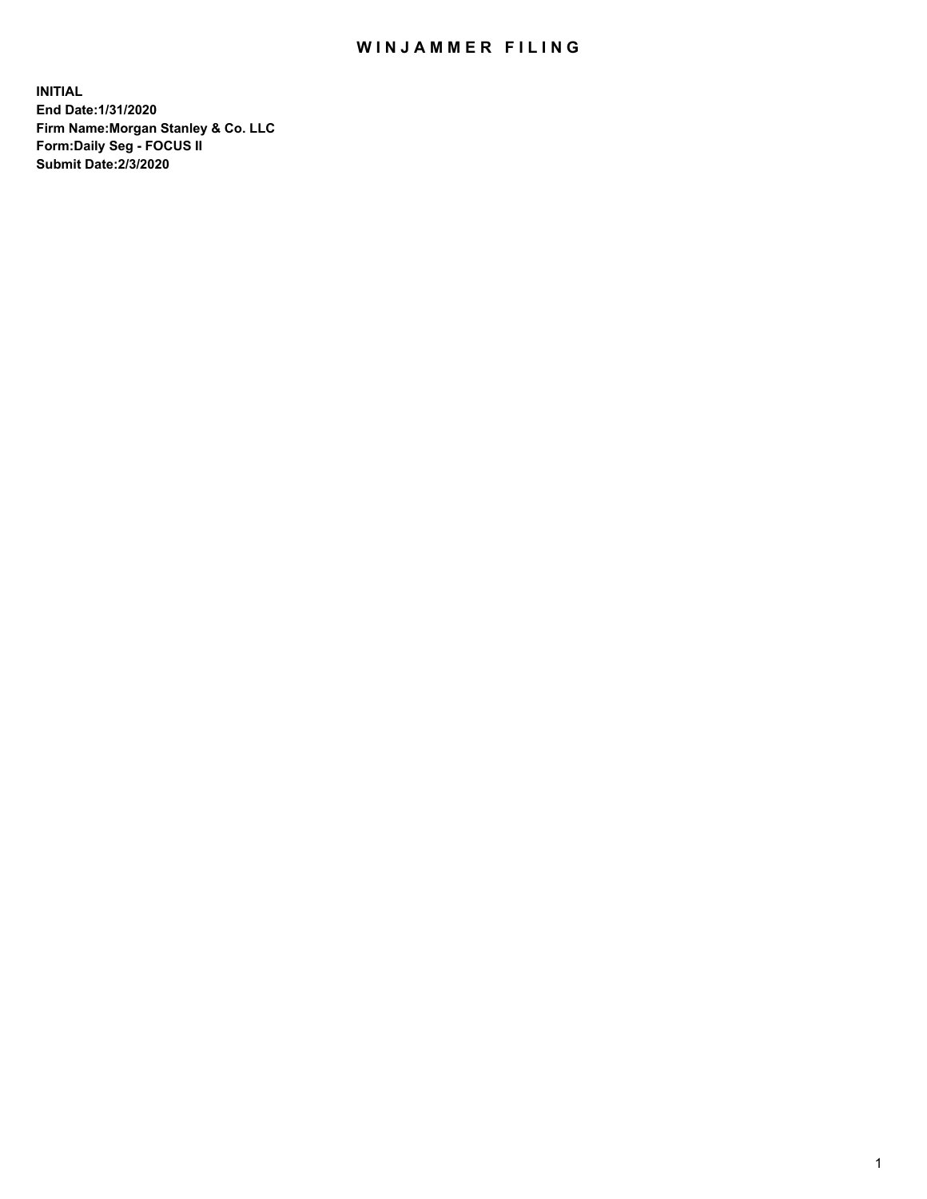## WIN JAMMER FILING

**INITIAL End Date:1/31/2020 Firm Name:Morgan Stanley & Co. LLC Form:Daily Seg - FOCUS II Submit Date:2/3/2020**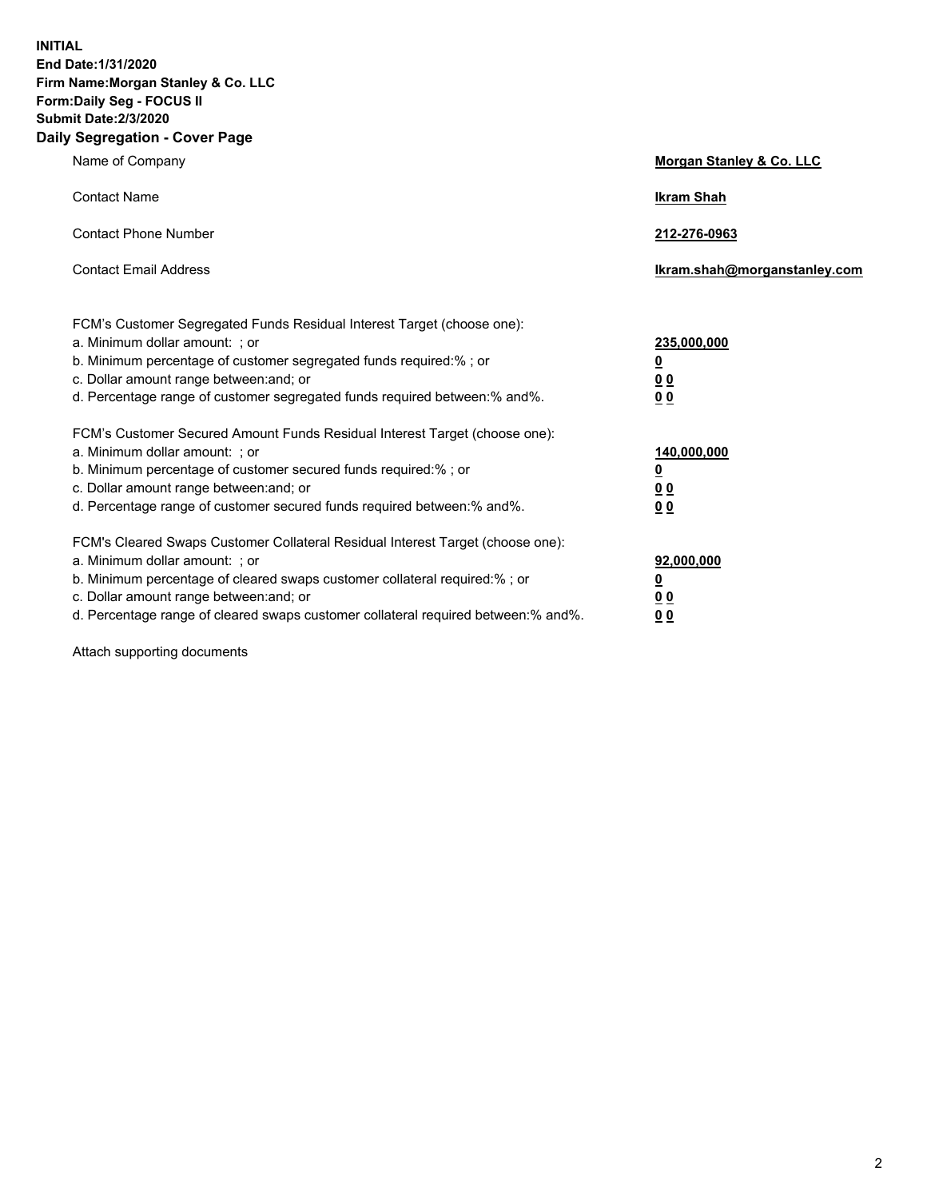**INITIAL End Date:1/31/2020 Firm Name:Morgan Stanley & Co. LLC Form:Daily Seg - FOCUS II Submit Date:2/3/2020 Daily Segregation - Cover Page**

| $0091090001 - 00101 - 090$                                                                                                                                                                                                                                                                                                     |                                                         |
|--------------------------------------------------------------------------------------------------------------------------------------------------------------------------------------------------------------------------------------------------------------------------------------------------------------------------------|---------------------------------------------------------|
| Name of Company                                                                                                                                                                                                                                                                                                                | Morgan Stanley & Co. LLC                                |
| <b>Contact Name</b>                                                                                                                                                                                                                                                                                                            | <b>Ikram Shah</b>                                       |
| <b>Contact Phone Number</b>                                                                                                                                                                                                                                                                                                    | 212-276-0963                                            |
| <b>Contact Email Address</b>                                                                                                                                                                                                                                                                                                   | Ikram.shah@morganstanley.com                            |
| FCM's Customer Segregated Funds Residual Interest Target (choose one):<br>a. Minimum dollar amount: ; or<br>b. Minimum percentage of customer segregated funds required:% ; or<br>c. Dollar amount range between: and; or<br>d. Percentage range of customer segregated funds required between:% and%.                         | 235,000,000<br><u>0</u><br><u>00</u><br>00              |
| FCM's Customer Secured Amount Funds Residual Interest Target (choose one):<br>a. Minimum dollar amount: ; or<br>b. Minimum percentage of customer secured funds required:%; or<br>c. Dollar amount range between: and; or<br>d. Percentage range of customer secured funds required between:% and%.                            | 140,000,000<br><u>0</u><br><u>0 0</u><br>0 <sup>0</sup> |
| FCM's Cleared Swaps Customer Collateral Residual Interest Target (choose one):<br>a. Minimum dollar amount: ; or<br>b. Minimum percentage of cleared swaps customer collateral required:% ; or<br>c. Dollar amount range between: and; or<br>d. Percentage range of cleared swaps customer collateral required between:% and%. | 92,000,000<br><u>0</u><br><u>00</u><br>0 <sup>0</sup>   |

Attach supporting documents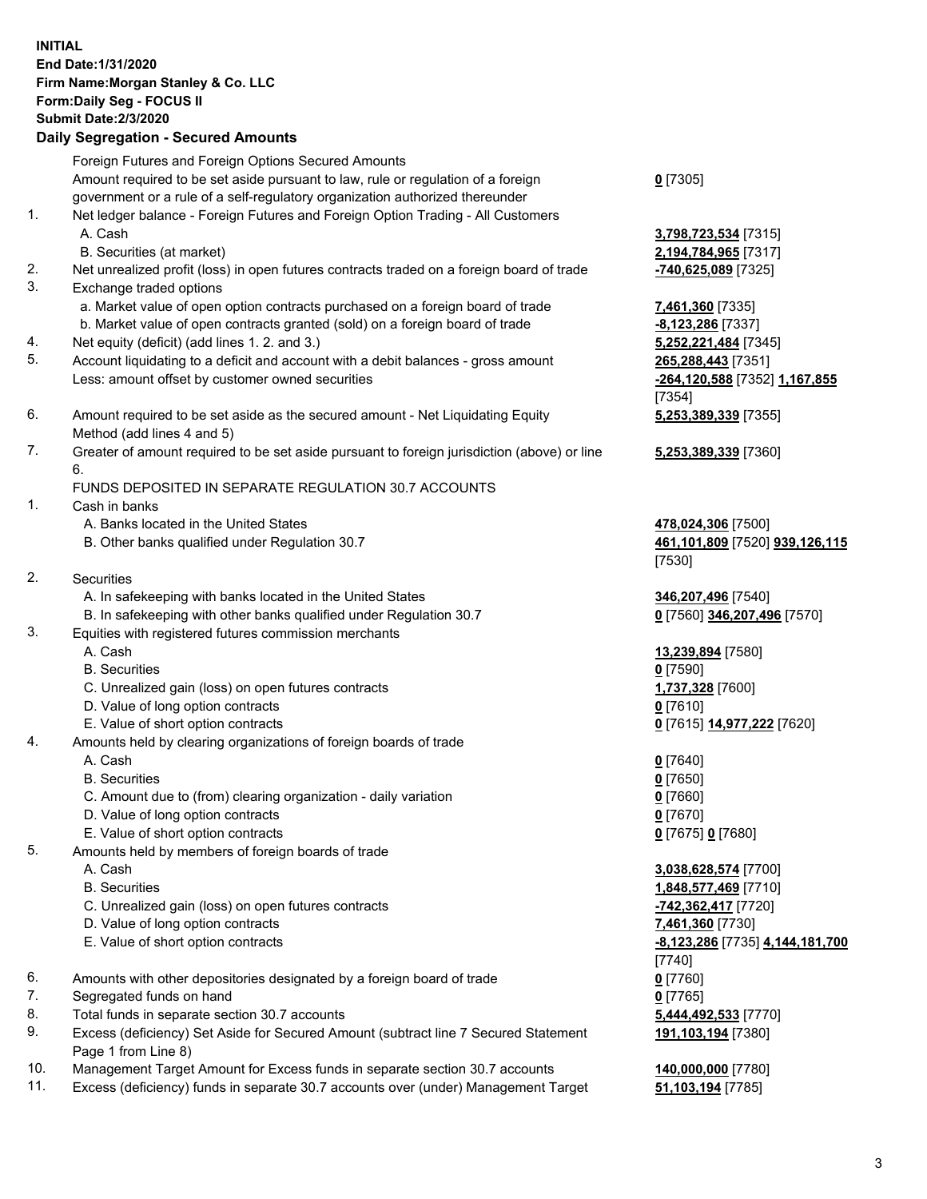| <b>INITIAL</b> | End Date: 1/31/2020<br>Firm Name: Morgan Stanley & Co. LLC<br>Form: Daily Seg - FOCUS II<br><b>Submit Date:2/3/2020</b><br><b>Daily Segregation - Secured Amounts</b>                                          |                                                                 |
|----------------|----------------------------------------------------------------------------------------------------------------------------------------------------------------------------------------------------------------|-----------------------------------------------------------------|
|                | Foreign Futures and Foreign Options Secured Amounts                                                                                                                                                            |                                                                 |
|                | Amount required to be set aside pursuant to law, rule or regulation of a foreign<br>government or a rule of a self-regulatory organization authorized thereunder                                               | $0$ [7305]                                                      |
| 1.             | Net ledger balance - Foreign Futures and Foreign Option Trading - All Customers<br>A. Cash<br>B. Securities (at market)                                                                                        | 3,798,723,534 [7315]<br>2,194,784,965 [7317]                    |
| 2.             | Net unrealized profit (loss) in open futures contracts traded on a foreign board of trade                                                                                                                      | -740,625,089 [7325]                                             |
| 3.             | Exchange traded options                                                                                                                                                                                        |                                                                 |
| 4.             | a. Market value of open option contracts purchased on a foreign board of trade<br>b. Market value of open contracts granted (sold) on a foreign board of trade<br>Net equity (deficit) (add lines 1.2. and 3.) | 7,461,360 [7335]<br>$-8,123,286$ [7337]<br>5,252,221,484 [7345] |
| 5.             | Account liquidating to a deficit and account with a debit balances - gross amount                                                                                                                              | 265,288,443 [7351]                                              |
|                | Less: amount offset by customer owned securities                                                                                                                                                               | -264,120,588 [7352] 1,167,855<br>[7354]                         |
| 6.             | Amount required to be set aside as the secured amount - Net Liquidating Equity<br>Method (add lines 4 and 5)                                                                                                   | 5,253,389,339 [7355]                                            |
| 7.             | Greater of amount required to be set aside pursuant to foreign jurisdiction (above) or line<br>6.                                                                                                              | 5,253,389,339 [7360]                                            |
|                | FUNDS DEPOSITED IN SEPARATE REGULATION 30.7 ACCOUNTS                                                                                                                                                           |                                                                 |
| 1.             | Cash in banks<br>A. Banks located in the United States<br>B. Other banks qualified under Regulation 30.7                                                                                                       | 478,024,306 [7500]<br>461,101,809 [7520] 939,126,115<br>[7530]  |
| 2.             | Securities                                                                                                                                                                                                     |                                                                 |
|                | A. In safekeeping with banks located in the United States                                                                                                                                                      | 346,207,496 [7540]                                              |
| 3.             | B. In safekeeping with other banks qualified under Regulation 30.7<br>Equities with registered futures commission merchants                                                                                    | 0 [7560] 346,207,496 [7570]                                     |
|                | A. Cash                                                                                                                                                                                                        | 13,239,894 [7580]                                               |
|                | <b>B.</b> Securities                                                                                                                                                                                           | $0$ [7590]                                                      |
|                | C. Unrealized gain (loss) on open futures contracts                                                                                                                                                            | 1,737,328 [7600]                                                |
|                | D. Value of long option contracts                                                                                                                                                                              | <u>0</u> [7610]                                                 |
| 4.             | E. Value of short option contracts<br>Amounts held by clearing organizations of foreign boards of trade                                                                                                        | 0 [7615] 14,977,222 [7620]                                      |
|                | A. Cash                                                                                                                                                                                                        | $0$ [7640]                                                      |
|                | <b>B.</b> Securities                                                                                                                                                                                           | $0$ [7650]                                                      |
|                | C. Amount due to (from) clearing organization - daily variation                                                                                                                                                | $0$ [7660]                                                      |
|                | D. Value of long option contracts                                                                                                                                                                              | $0$ [7670]                                                      |
|                | E. Value of short option contracts                                                                                                                                                                             | 0 [7675] 0 [7680]                                               |
| 5.             | Amounts held by members of foreign boards of trade<br>A. Cash                                                                                                                                                  | 3,038,628,574 [7700]                                            |
|                | <b>B.</b> Securities                                                                                                                                                                                           | 1,848,577,469 [7710]                                            |
|                | C. Unrealized gain (loss) on open futures contracts                                                                                                                                                            | -742,362,417 [7720]                                             |
|                | D. Value of long option contracts                                                                                                                                                                              | 7,461,360 [7730]                                                |
|                | E. Value of short option contracts                                                                                                                                                                             | <u>-8,123,286</u> [7735] 4,144,181,700                          |
|                |                                                                                                                                                                                                                | $[7740]$                                                        |
| 6.             | Amounts with other depositories designated by a foreign board of trade                                                                                                                                         | $0$ [7760]                                                      |
| 7.<br>8.       | Segregated funds on hand<br>Total funds in separate section 30.7 accounts                                                                                                                                      | $0$ [7765]<br>5,444,492,533 [7770]                              |
| 9.             | Excess (deficiency) Set Aside for Secured Amount (subtract line 7 Secured Statement<br>Page 1 from Line 8)                                                                                                     | 191,103,194 [7380]                                              |
| 10.            | Management Target Amount for Excess funds in separate section 30.7 accounts                                                                                                                                    | 140,000,000 [7780]                                              |

11. Excess (deficiency) funds in separate 30.7 accounts over (under) Management Target **51,103,194** [7785]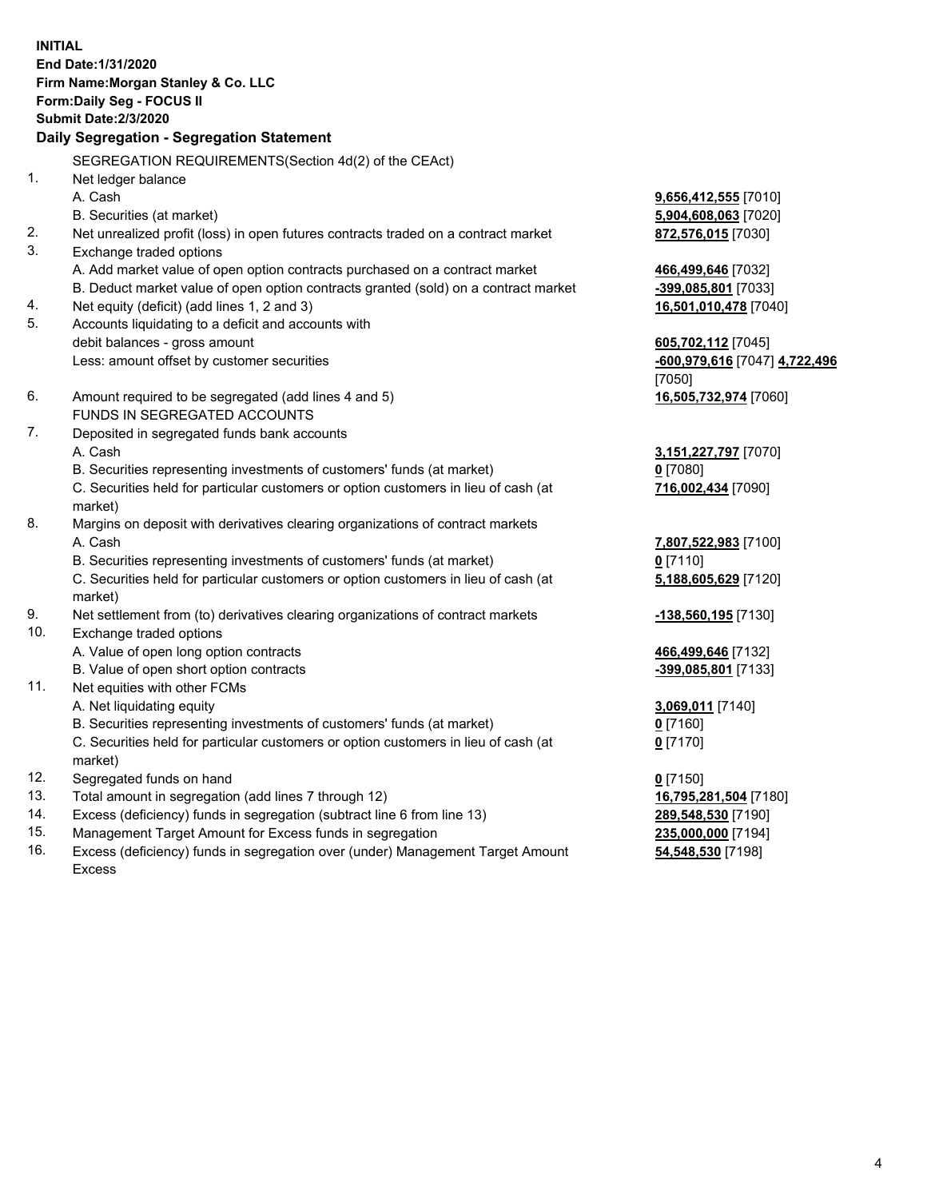**INITIAL End Date:1/31/2020 Firm Name:Morgan Stanley & Co. LLC Form:Daily Seg - FOCUS II Submit Date:2/3/2020 Daily Segregation - Segregation Statement** SEGREGATION REQUIREMENTS(Section 4d(2) of the CEAct) 1. Net ledger balance A. Cash **9,656,412,555** [7010] B. Securities (at market) **5,904,608,063** [7020] 2. Net unrealized profit (loss) in open futures contracts traded on a contract market **872,576,015** [7030] 3. Exchange traded options A. Add market value of open option contracts purchased on a contract market **466,499,646** [7032] B. Deduct market value of open option contracts granted (sold) on a contract market **-399,085,801** [7033] 4. Net equity (deficit) (add lines 1, 2 and 3) **16,501,010,478** [7040] 5. Accounts liquidating to a deficit and accounts with debit balances - gross amount **605,702,112** [7045] Less: amount offset by customer securities **and the securities of the securities of the securities of the securities of the securities and the securities of the securities of the securities of the securities of the securit** [7050] 6. Amount required to be segregated (add lines 4 and 5) **16,505,732,974** [7060] FUNDS IN SEGREGATED ACCOUNTS 7. Deposited in segregated funds bank accounts A. Cash **3,151,227,797** [7070] B. Securities representing investments of customers' funds (at market) **0** [7080] C. Securities held for particular customers or option customers in lieu of cash (at market) **716,002,434** [7090] 8. Margins on deposit with derivatives clearing organizations of contract markets A. Cash **7,807,522,983** [7100] B. Securities representing investments of customers' funds (at market) **0** [7110] C. Securities held for particular customers or option customers in lieu of cash (at market) **5,188,605,629** [7120] 9. Net settlement from (to) derivatives clearing organizations of contract markets **-138,560,195** [7130] 10. Exchange traded options A. Value of open long option contracts **466,499,646** [7132] B. Value of open short option contracts **-399,085,801** [7133] 11. Net equities with other FCMs A. Net liquidating equity **3,069,011** [7140] B. Securities representing investments of customers' funds (at market) **0** [7160] C. Securities held for particular customers or option customers in lieu of cash (at market) **0** [7170] 12. Segregated funds on hand **0** [7150] 13. Total amount in segregation (add lines 7 through 12) **16,795,281,504** [7180] 14. Excess (deficiency) funds in segregation (subtract line 6 from line 13) **289,548,530** [7190] 15. Management Target Amount for Excess funds in segregation **235,000,000** [7194]

- 16. Excess (deficiency) funds in segregation over (under) Management Target Amount
	- Excess

**54,548,530** [7198]